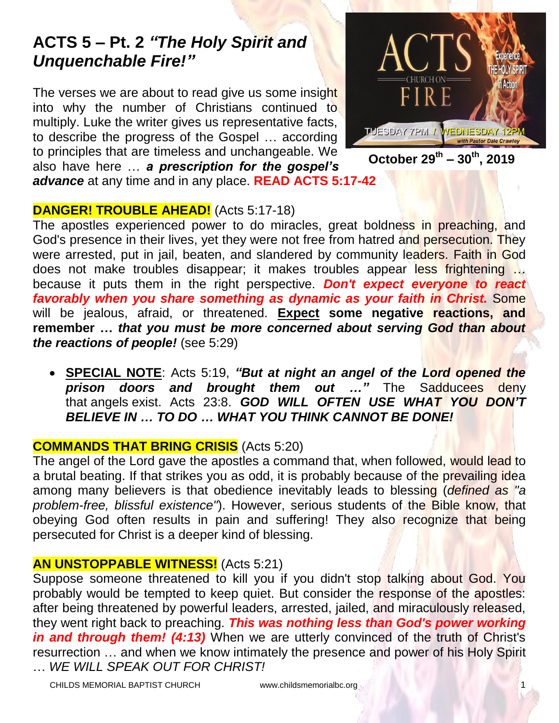# **ACTS 5 – Pt. 2** *"The Holy Spirit and Unquenchable Fire!"*

The verses we are about to read give us some insight into why the number of Christians continued to multiply. Luke the writer gives us representative facts, to describe the progress of the Gospel … according to principles that are timeless and unchangeable. We also have here … *a prescription for the gospel's advance* at any time and in any place. **READ ACTS 5:17-42**



**October 29 th – 30th, 2019**

## **DANGER! TROUBLE AHEAD!** (Acts 5:17-18)

The apostles experienced power to do miracles, great boldness in preaching, and God's presence in their lives, yet they were not free from hatred and persecution. They were arrested, put in jail, beaten, and slandered by community leaders. Faith in God does not make troubles disappear; it makes troubles appear less frightening … because it puts them in the right perspective. *Don't expect everyone to react favorably when you share something as dynamic as your faith in Christ.* Some will be jealous, afraid, or threatened. **Expect some negative reactions, and remember …** *that you must be more concerned about serving God than about the reactions of people!* (see 5:29)

 **SPECIAL NOTE**: Acts 5:19, *"But at night an angel of the Lord opened the prison doors and brought them out …"* The Sadducees deny that angels exist. Acts 23:8. *GOD WILL OFTEN USE WHAT YOU DON'T BELIEVE IN … TO DO … WHAT YOU THINK CANNOT BE DONE!*

## **COMMANDS THAT BRING CRISIS** (Acts 5:20)

The angel of the Lord gave the apostles a command that, when followed, would lead to a brutal beating. If that strikes you as odd, it is probably because of the prevailing idea among many believers is that obedience inevitably leads to blessing (*defined as "a problem-free, blissful existence"*). However, serious students of the Bible know, that obeying God often results in pain and suffering! They also recognize that being persecuted for Christ is a deeper kind of blessing.

## **AN UNSTOPPABLE WITNESS!** (Acts 5:21)

Suppose someone threatened to kill you if you didn't stop talking about God. You probably would be tempted to keep quiet. But consider the response of the apostles: after being threatened by powerful leaders, arrested, jailed, and miraculously released, they went right back to preaching. *This was nothing less than God's power working in and through them! (4:13)* When we are utterly convinced of the truth of Christ's resurrection … and when we know intimately the presence and power of his Holy Spirit … *WE WILL SPEAK OUT FOR CHRIST!*